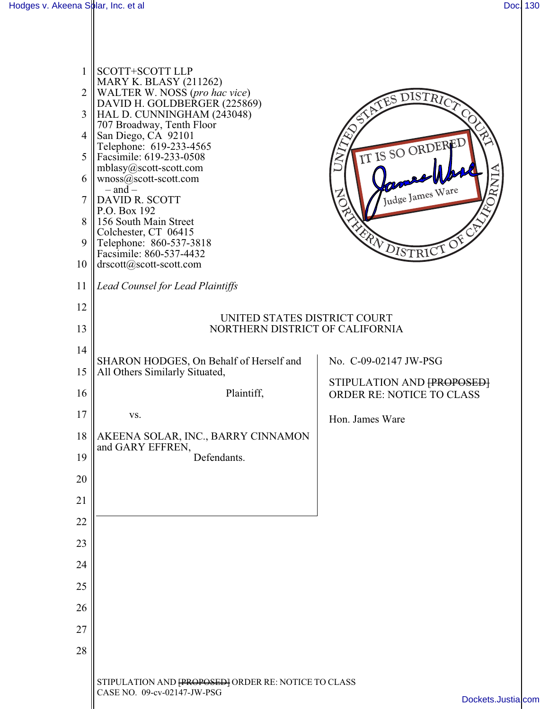II

| $\mathbf{1}$   | <b>SCOTT+SCOTT LLP</b><br><b>MARY K. BLASY (211262)</b>                              |                                                               |  |
|----------------|--------------------------------------------------------------------------------------|---------------------------------------------------------------|--|
| $\overline{2}$ | WALTER W. NOSS (pro hac vice)<br>DAVID H. GOLDBERGER (225869)                        | DISTRICT<br>JES                                               |  |
| 3              | HAL D. CUNNINGHAM (243048)<br>707 Broadway, Tenth Floor                              |                                                               |  |
| 4              | San Diego, CA 92101<br>Telephone: 619-233-4565                                       |                                                               |  |
| 5              | Facsimile: 619-233-0508                                                              | IT IS SO ORDERED                                              |  |
| 6              | mblasy@scott-scott.com<br>$wnoss@scott-scott.com$<br>$-$ and $-$                     |                                                               |  |
| 7              | DAVID R. SCOTT                                                                       | Judge James Ware                                              |  |
| 8              | P.O. Box 192<br>156 South Main Street                                                |                                                               |  |
| 9              | Colchester, CT 06415<br>Telephone: 860-537-3818                                      | FRA DISTRICT OF                                               |  |
| 10             | Facsimile: 860-537-4432<br>drscott@scott-scott.com                                   |                                                               |  |
| 11             | <b>Lead Counsel for Lead Plaintiffs</b>                                              |                                                               |  |
| 12             | UNITED STATES DISTRICT COURT<br>NORTHERN DISTRICT OF CALIFORNIA                      |                                                               |  |
| 13             |                                                                                      |                                                               |  |
| 14             |                                                                                      |                                                               |  |
| 15             | SHARON HODGES, On Behalf of Herself and<br>All Others Similarly Situated,            | No. C-09-02147 JW-PSG                                         |  |
| 16             | Plaintiff,                                                                           | STIPULATION AND FPROPOSED<br><b>ORDER RE: NOTICE TO CLASS</b> |  |
| 17             | VS.                                                                                  | Hon. James Ware                                               |  |
| 18             | AKEENA SOLAR, INC., BARRY CINNAMON<br>and GARY EFFREN,                               |                                                               |  |
| 19             | Defendants.                                                                          |                                                               |  |
| 20             |                                                                                      |                                                               |  |
| 21             |                                                                                      |                                                               |  |
| 22             |                                                                                      |                                                               |  |
| 23             |                                                                                      |                                                               |  |
| 24             |                                                                                      |                                                               |  |
| 25             |                                                                                      |                                                               |  |
| 26             |                                                                                      |                                                               |  |
| 27             |                                                                                      |                                                               |  |
| 28             |                                                                                      |                                                               |  |
|                |                                                                                      |                                                               |  |
|                | STIPULATION AND FPROPOSED ] ORDER RE: NOTICE TO CLASS<br>CASE NO. 09-cv-02147-JW-PSG | Dockets.Justialcom                                            |  |
|                |                                                                                      |                                                               |  |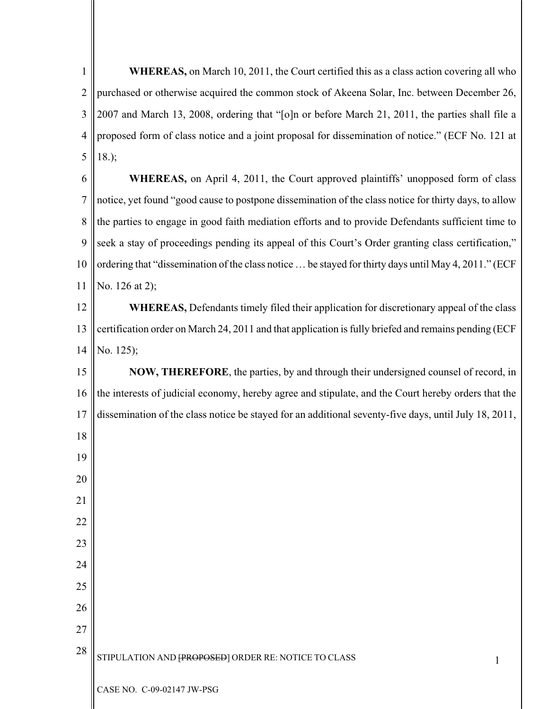1 2 3 4 5 6 **WHEREAS,** on March 10, 2011, the Court certified this as a class action covering all who purchased or otherwise acquired the common stock of Akeena Solar, Inc. between December 26, 2007 and March 13, 2008, ordering that "[o]n or before March 21, 2011, the parties shall file a proposed form of class notice and a joint proposal for dissemination of notice." (ECF No. 121 at 18.); **WHEREAS,** on April 4, 2011, the Court approved plaintiffs' unopposed form of class

7 8 9 10 11 notice, yet found "good cause to postpone dissemination of the class notice for thirty days, to allow the parties to engage in good faith mediation efforts and to provide Defendants sufficient time to seek a stay of proceedings pending its appeal of this Court's Order granting class certification," ordering that "dissemination of the class notice … be stayed for thirty days until May 4, 2011." (ECF No. 126 at 2);

12 13 14 **WHEREAS,** Defendants timely filed their application for discretionary appeal of the class certification order on March 24, 2011 and that application is fully briefed and remains pending (ECF No. 125);

15 16 17 **NOW, THEREFORE**, the parties, by and through their undersigned counsel of record, in the interests of judicial economy, hereby agree and stipulate, and the Court hereby orders that the dissemination of the class notice be stayed for an additional seventy-five days, until July 18, 2011,

28 STIPULATION AND  $[PROPOSEB]$  ORDER RE: NOTICE TO CLASS

18

19

20

21

22

23

24

25

26

27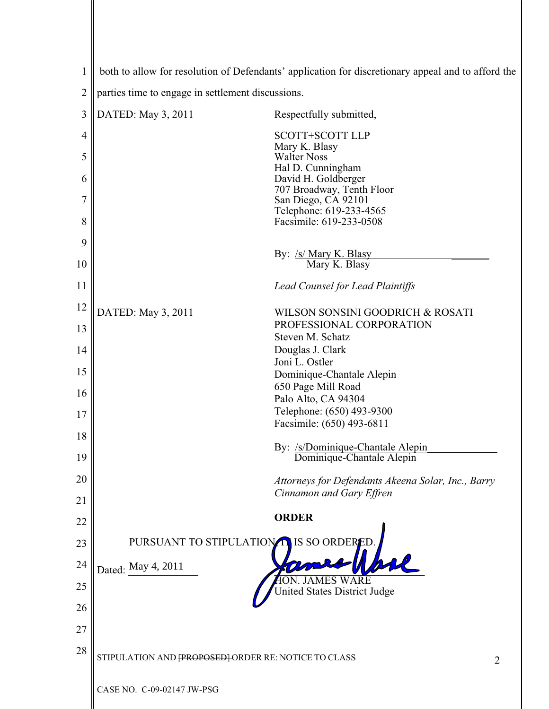| 1  | both to allow for resolution of Defendants' application for discretionary appeal and to afford the |                                                                                |  |
|----|----------------------------------------------------------------------------------------------------|--------------------------------------------------------------------------------|--|
| 2  | parties time to engage in settlement discussions.                                                  |                                                                                |  |
| 3  | DATED: May 3, 2011                                                                                 | Respectfully submitted,                                                        |  |
| 4  |                                                                                                    | <b>SCOTT+SCOTT LLP</b>                                                         |  |
| 5  |                                                                                                    | Mary K. Blasy<br><b>Walter Noss</b>                                            |  |
| 6  |                                                                                                    | Hal D. Cunningham<br>David H. Goldberger                                       |  |
| 7  |                                                                                                    | 707 Broadway, Tenth Floor<br>San Diego, CA 92101<br>Telephone: 619-233-4565    |  |
| 8  |                                                                                                    | Facsimile: 619-233-0508                                                        |  |
| 9  |                                                                                                    | By: /s/ Mary K. Blasy                                                          |  |
| 10 |                                                                                                    | Mary K. Blasy                                                                  |  |
| 11 |                                                                                                    | <b>Lead Counsel for Lead Plaintiffs</b>                                        |  |
| 12 | DATED: May 3, 2011                                                                                 | WILSON SONSINI GOODRICH & ROSATI                                               |  |
| 13 |                                                                                                    | PROFESSIONAL CORPORATION<br>Steven M. Schatz                                   |  |
| 14 |                                                                                                    | Douglas J. Clark<br>Joni L. Ostler                                             |  |
| 15 |                                                                                                    | Dominique-Chantale Alepin                                                      |  |
| 16 |                                                                                                    | 650 Page Mill Road<br>Palo Alto, CA 94304                                      |  |
| 17 |                                                                                                    | Telephone: (650) 493-9300<br>Facsimile: (650) 493-6811                         |  |
| 18 |                                                                                                    |                                                                                |  |
| 19 |                                                                                                    | By: /s/Dominique-Chantale Alepin<br>Dominique-Chantale Alepin                  |  |
| 20 |                                                                                                    | Attorneys for Defendants Akeena Solar, Inc., Barry<br>Cinnamon and Gary Effren |  |
| 21 |                                                                                                    | <b>ORDER</b>                                                                   |  |
| 22 |                                                                                                    |                                                                                |  |
| 23 | PURSUANT TO STIPULATION IS SO ORDEREI                                                              |                                                                                |  |
| 24 | Dated: May 4, 2011                                                                                 |                                                                                |  |
| 25 |                                                                                                    | <b>Jnited States District Judge</b>                                            |  |
| 26 |                                                                                                    |                                                                                |  |
| 27 |                                                                                                    |                                                                                |  |
| 28 | STIPULATION AND FPROPOSED FORDER RE: NOTICE TO CLASS<br>2                                          |                                                                                |  |
|    | CASE NO. C-09-02147 JW-PSG                                                                         |                                                                                |  |